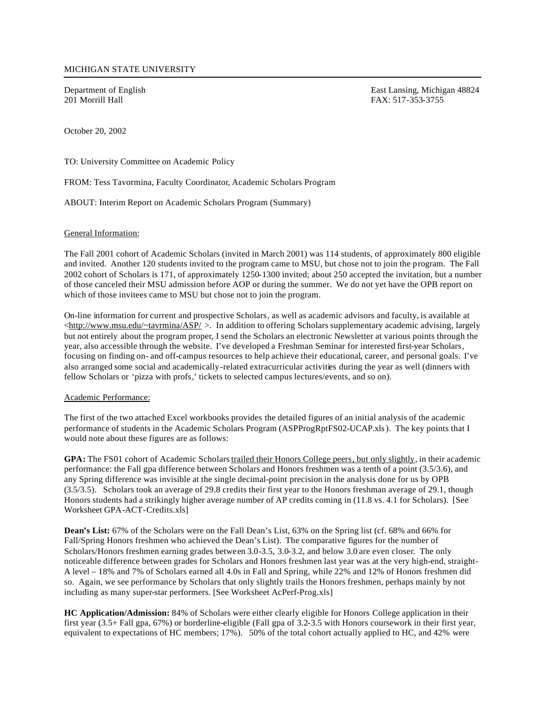Department of English East Lansing, Michigan 48824<br>
201 Morrill Hall EAX: 517-353-3755 FAX: 517-353-3755

October 20, 2002

TO: University Committee on Academic Policy

FROM: Tess Tavormina, Faculty Coordinator, Academic Scholars Program

ABOUT: Interim Report on Academic Scholars Program (Summary)

## General Information:

The Fall 2001 cohort of Academic Scholars (invited in March 2001) was 114 students, of approximately 800 eligible and invited. Another 120 students invited to the program came to MSU, but chose not to join the program. The Fall 2002 cohort of Scholars is 171, of approximately 1250-1300 invited; about 250 accepted the invitation, but a number of those canceled their MSU admission before AOP or during the summer. We do not yet have the OPB report on which of those invitees came to MSU but chose not to join the program.

On-line information for current and prospective Scholars, as well as academic advisors and faculty, is available at  $\langle$ http://www.msu.edu/ $\sim$ tavrmina/ASP/  $>$ . In addition to offering Scholars supplementary academic advising, largely but not entirely about the program proper, I send the Scholars an electronic Newsletter at various points through the year, also accessible through the website. I've developed a Freshman Seminar for interested first-year Scholars, focusing on finding on- and off-campus resources to help achieve their educational, career, and personal goals. I've also arranged some social and academically-related extracurricular activities during the year as well (dinners with fellow Scholars or 'pizza with profs,' tickets to selected campus lectures/events, and so on).

## Academic Performance:

The first of the two attached Excel workbooks provides the detailed figures of an initial analysis of the academic performance of students in the Academic Scholars Program (ASPProgRptFS02-UCAP.xls). The key points that I would note about these figures are as follows:

**GPA:** The FS01 cohort of Academic Scholars trailed their Honors College peers, but only slightly, in their academic performance: the Fall gpa difference between Scholars and Honors freshmen was a tenth of a point (3.5/3.6), and any Spring difference was invisible at the single decimal-point precision in the analysis done for us by OPB (3.5/3.5). Scholars took an average of 29.8 credits their first year to the Honors freshman average of 29.1, though Honors students had a strikingly higher average number of AP credits coming in (11.8 vs. 4.1 for Scholars). [See Worksheet GPA-ACT-Credits.xls]

**Dean's List:** 67% of the Scholars were on the Fall Dean's List, 63% on the Spring list (cf. 68% and 66% for Fall/Spring Honors freshmen who achieved the Dean's List). The comparative figures for the number of Scholars/Honors freshmen earning grades between 3.0-3.5, 3.0-3.2, and below 3.0 are even closer. The only noticeable difference between grades for Scholars and Honors freshmen last year was at the very high-end, straight-A level – 18% and 7% of Scholars earned all 4.0s in Fall and Spring, while 22% and 12% of Honors freshmen did so. Again, we see performance by Scholars that only slightly trails the Honors freshmen, perhaps mainly by not including as many super-star performers. [See Worksheet AcPerf-Prog.xls]

**HC Application/Admission:** 84% of Scholars were either clearly eligible for Honors College application in their first year (3.5+ Fall gpa, 67%) or borderline-eligible (Fall gpa of 3.2-3.5 with Honors coursework in their first year, equivalent to expectations of HC members; 17%). 50% of the total cohort actually applied to HC, and 42% were